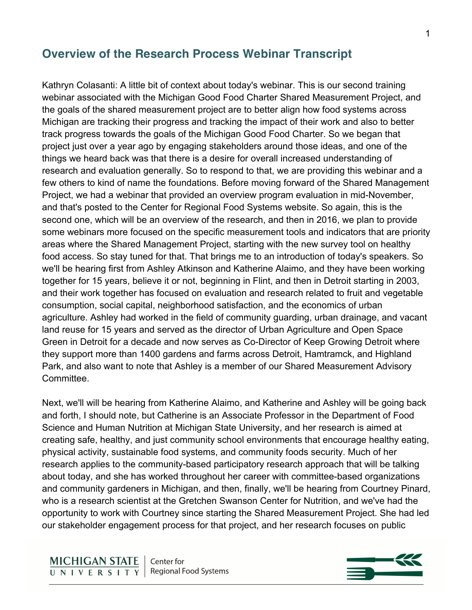## **Overview of the Research Process Webinar Transcript**

Kathryn Colasanti: A little bit of context about today's webinar. This is our second training webinar associated with the Michigan Good Food Charter Shared Measurement Project, and the goals of the shared measurement project are to better align how food systems across Michigan are tracking their progress and tracking the impact of their work and also to better track progress towards the goals of the Michigan Good Food Charter. So we began that project just over a year ago by engaging stakeholders around those ideas, and one of the things we heard back was that there is a desire for overall increased understanding of research and evaluation generally. So to respond to that, we are providing this webinar and a few others to kind of name the foundations. Before moving forward of the Shared Management Project, we had a webinar that provided an overview program evaluation in mid-November, and that's posted to the Center for Regional Food Systems website. So again, this is the second one, which will be an overview of the research, and then in 2016, we plan to provide some webinars more focused on the specific measurement tools and indicators that are priority areas where the Shared Management Project, starting with the new survey tool on healthy food access. So stay tuned for that. That brings me to an introduction of today's speakers. So we'll be hearing first from Ashley Atkinson and Katherine Alaimo, and they have been working together for 15 years, believe it or not, beginning in Flint, and then in Detroit starting in 2003, and their work together has focused on evaluation and research related to fruit and vegetable consumption, social capital, neighborhood satisfaction, and the economics of urban agriculture. Ashley had worked in the field of community guarding, urban drainage, and vacant land reuse for 15 years and served as the director of Urban Agriculture and Open Space Green in Detroit for a decade and now serves as Co-Director of Keep Growing Detroit where they support more than 1400 gardens and farms across Detroit, Hamtramck, and Highland Park, and also want to note that Ashley is a member of our Shared Measurement Advisory Committee.

Next, we'll will be hearing from Katherine Alaimo, and Katherine and Ashley will be going back and forth, I should note, but Catherine is an Associate Professor in the Department of Food Science and Human Nutrition at Michigan State University, and her research is aimed at creating safe, healthy, and just community school environments that encourage healthy eating, physical activity, sustainable food systems, and community foods security. Much of her research applies to the community-based participatory research approach that will be talking about today, and she has worked throughout her career with committee-based organizations and community gardeners in Michigan, and then, finally, we'll be hearing from Courtney Pinard, who is a research scientist at the Gretchen Swanson Center for Nutrition, and we've had the opportunity to work with Courtney since starting the Shared Measurement Project. She had led our stakeholder engagement process for that project, and her research focuses on public

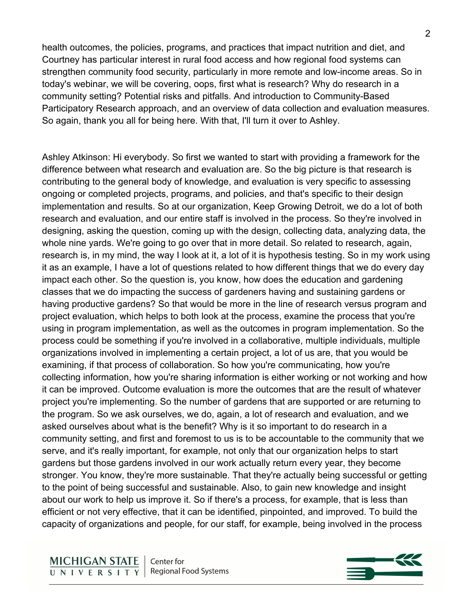health outcomes, the policies, programs, and practices that impact nutrition and diet, and Courtney has particular interest in rural food access and how regional food systems can strengthen community food security, particularly in more remote and low-income areas. So in today's webinar, we will be covering, oops, first what is research? Why do research in a community setting? Potential risks and pitfalls. And introduction to Community-Based Participatory Research approach, and an overview of data collection and evaluation measures. So again, thank you all for being here. With that, I'll turn it over to Ashley.

Ashley Atkinson: Hi everybody. So first we wanted to start with providing a framework for the difference between what research and evaluation are. So the big picture is that research is contributing to the general body of knowledge, and evaluation is very specific to assessing ongoing or completed projects, programs, and policies, and that's specific to their design implementation and results. So at our organization, Keep Growing Detroit, we do a lot of both research and evaluation, and our entire staff is involved in the process. So they're involved in designing, asking the question, coming up with the design, collecting data, analyzing data, the whole nine yards. We're going to go over that in more detail. So related to research, again, research is, in my mind, the way I look at it, a lot of it is hypothesis testing. So in my work using it as an example, I have a lot of questions related to how different things that we do every day impact each other. So the question is, you know, how does the education and gardening classes that we do impacting the success of gardeners having and sustaining gardens or having productive gardens? So that would be more in the line of research versus program and project evaluation, which helps to both look at the process, examine the process that you're using in program implementation, as well as the outcomes in program implementation. So the process could be something if you're involved in a collaborative, multiple individuals, multiple organizations involved in implementing a certain project, a lot of us are, that you would be examining, if that process of collaboration. So how you're communicating, how you're collecting information, how you're sharing information is either working or not working and how it can be improved. Outcome evaluation is more the outcomes that are the result of whatever project you're implementing. So the number of gardens that are supported or are returning to the program. So we ask ourselves, we do, again, a lot of research and evaluation, and we asked ourselves about what is the benefit? Why is it so important to do research in a community setting, and first and foremost to us is to be accountable to the community that we serve, and it's really important, for example, not only that our organization helps to start gardens but those gardens involved in our work actually return every year, they become stronger. You know, they're more sustainable. That they're actually being successful or getting to the point of being successful and sustainable. Also, to gain new knowledge and insight about our work to help us improve it. So if there's a process, for example, that is less than efficient or not very effective, that it can be identified, pinpointed, and improved. To build the capacity of organizations and people, for our staff, for example, being involved in the process

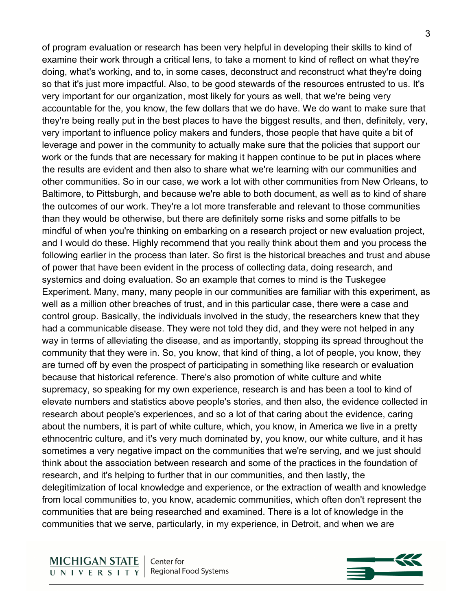of program evaluation or research has been very helpful in developing their skills to kind of examine their work through a critical lens, to take a moment to kind of reflect on what they're doing, what's working, and to, in some cases, deconstruct and reconstruct what they're doing so that it's just more impactful. Also, to be good stewards of the resources entrusted to us. It's very important for our organization, most likely for yours as well, that we're being very accountable for the, you know, the few dollars that we do have. We do want to make sure that they're being really put in the best places to have the biggest results, and then, definitely, very, very important to influence policy makers and funders, those people that have quite a bit of leverage and power in the community to actually make sure that the policies that support our work or the funds that are necessary for making it happen continue to be put in places where the results are evident and then also to share what we're learning with our communities and other communities. So in our case, we work a lot with other communities from New Orleans, to Baltimore, to Pittsburgh, and because we're able to both document, as well as to kind of share the outcomes of our work. They're a lot more transferable and relevant to those communities than they would be otherwise, but there are definitely some risks and some pitfalls to be mindful of when you're thinking on embarking on a research project or new evaluation project, and I would do these. Highly recommend that you really think about them and you process the following earlier in the process than later. So first is the historical breaches and trust and abuse of power that have been evident in the process of collecting data, doing research, and systemics and doing evaluation. So an example that comes to mind is the Tuskegee Experiment. Many, many, many people in our communities are familiar with this experiment, as well as a million other breaches of trust, and in this particular case, there were a case and control group. Basically, the individuals involved in the study, the researchers knew that they had a communicable disease. They were not told they did, and they were not helped in any way in terms of alleviating the disease, and as importantly, stopping its spread throughout the community that they were in. So, you know, that kind of thing, a lot of people, you know, they are turned off by even the prospect of participating in something like research or evaluation because that historical reference. There's also promotion of white culture and white supremacy, so speaking for my own experience, research is and has been a tool to kind of elevate numbers and statistics above people's stories, and then also, the evidence collected in research about people's experiences, and so a lot of that caring about the evidence, caring about the numbers, it is part of white culture, which, you know, in America we live in a pretty ethnocentric culture, and it's very much dominated by, you know, our white culture, and it has sometimes a very negative impact on the communities that we're serving, and we just should think about the association between research and some of the practices in the foundation of research, and it's helping to further that in our communities, and then lastly, the delegitimization of local knowledge and experience, or the extraction of wealth and knowledge from local communities to, you know, academic communities, which often don't represent the communities that are being researched and examined. There is a lot of knowledge in the communities that we serve, particularly, in my experience, in Detroit, and when we are

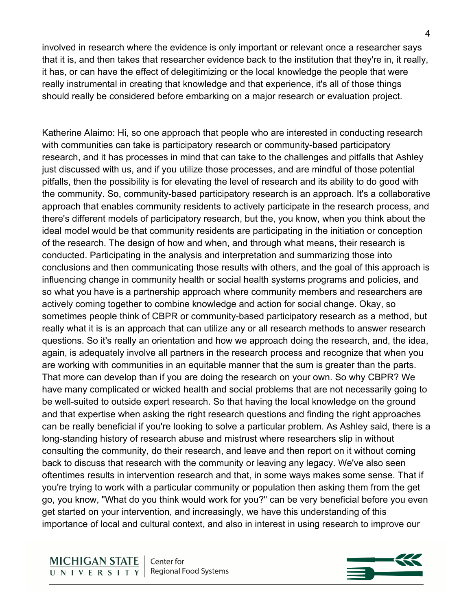involved in research where the evidence is only important or relevant once a researcher says that it is, and then takes that researcher evidence back to the institution that they're in, it really, it has, or can have the effect of delegitimizing or the local knowledge the people that were really instrumental in creating that knowledge and that experience, it's all of those things should really be considered before embarking on a major research or evaluation project.

Katherine Alaimo: Hi, so one approach that people who are interested in conducting research with communities can take is participatory research or community-based participatory research, and it has processes in mind that can take to the challenges and pitfalls that Ashley just discussed with us, and if you utilize those processes, and are mindful of those potential pitfalls, then the possibility is for elevating the level of research and its ability to do good with the community. So, community-based participatory research is an approach. It's a collaborative approach that enables community residents to actively participate in the research process, and there's different models of participatory research, but the, you know, when you think about the ideal model would be that community residents are participating in the initiation or conception of the research. The design of how and when, and through what means, their research is conducted. Participating in the analysis and interpretation and summarizing those into conclusions and then communicating those results with others, and the goal of this approach is influencing change in community health or social health systems programs and policies, and so what you have is a partnership approach where community members and researchers are actively coming together to combine knowledge and action for social change. Okay, so sometimes people think of CBPR or community-based participatory research as a method, but really what it is is an approach that can utilize any or all research methods to answer research questions. So it's really an orientation and how we approach doing the research, and, the idea, again, is adequately involve all partners in the research process and recognize that when you are working with communities in an equitable manner that the sum is greater than the parts. That more can develop than if you are doing the research on your own. So why CBPR? We have many complicated or wicked health and social problems that are not necessarily going to be well-suited to outside expert research. So that having the local knowledge on the ground and that expertise when asking the right research questions and finding the right approaches can be really beneficial if you're looking to solve a particular problem. As Ashley said, there is a long-standing history of research abuse and mistrust where researchers slip in without consulting the community, do their research, and leave and then report on it without coming back to discuss that research with the community or leaving any legacy. We've also seen oftentimes results in intervention research and that, in some ways makes some sense. That if you're trying to work with a particular community or population then asking them from the get go, you know, "What do you think would work for you?" can be very beneficial before you even get started on your intervention, and increasingly, we have this understanding of this importance of local and cultural context, and also in interest in using research to improve our

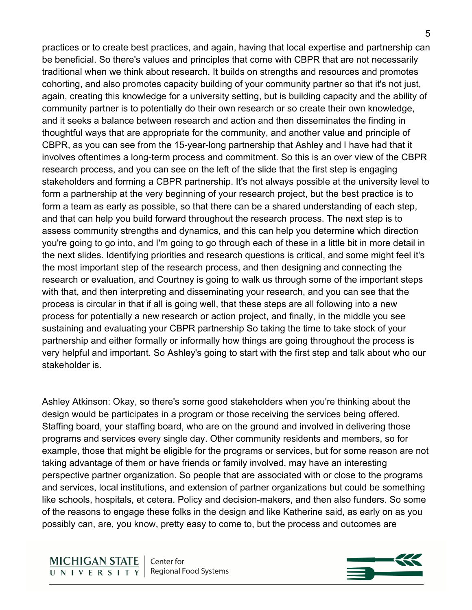practices or to create best practices, and again, having that local expertise and partnership can be beneficial. So there's values and principles that come with CBPR that are not necessarily traditional when we think about research. It builds on strengths and resources and promotes cohorting, and also promotes capacity building of your community partner so that it's not just, again, creating this knowledge for a university setting, but is building capacity and the ability of community partner is to potentially do their own research or so create their own knowledge, and it seeks a balance between research and action and then disseminates the finding in thoughtful ways that are appropriate for the community, and another value and principle of CBPR, as you can see from the 15-year-long partnership that Ashley and I have had that it involves oftentimes a long-term process and commitment. So this is an over view of the CBPR research process, and you can see on the left of the slide that the first step is engaging stakeholders and forming a CBPR partnership. It's not always possible at the university level to form a partnership at the very beginning of your research project, but the best practice is to form a team as early as possible, so that there can be a shared understanding of each step, and that can help you build forward throughout the research process. The next step is to assess community strengths and dynamics, and this can help you determine which direction you're going to go into, and I'm going to go through each of these in a little bit in more detail in the next slides. Identifying priorities and research questions is critical, and some might feel it's the most important step of the research process, and then designing and connecting the research or evaluation, and Courtney is going to walk us through some of the important steps with that, and then interpreting and disseminating your research, and you can see that the process is circular in that if all is going well, that these steps are all following into a new process for potentially a new research or action project, and finally, in the middle you see sustaining and evaluating your CBPR partnership So taking the time to take stock of your partnership and either formally or informally how things are going throughout the process is very helpful and important. So Ashley's going to start with the first step and talk about who our stakeholder is.

Ashley Atkinson: Okay, so there's some good stakeholders when you're thinking about the design would be participates in a program or those receiving the services being offered. Staffing board, your staffing board, who are on the ground and involved in delivering those programs and services every single day. Other community residents and members, so for example, those that might be eligible for the programs or services, but for some reason are not taking advantage of them or have friends or family involved, may have an interesting perspective partner organization. So people that are associated with or close to the programs and services, local institutions, and extension of partner organizations but could be something like schools, hospitals, et cetera. Policy and decision-makers, and then also funders. So some of the reasons to engage these folks in the design and like Katherine said, as early on as you possibly can, are, you know, pretty easy to come to, but the process and outcomes are

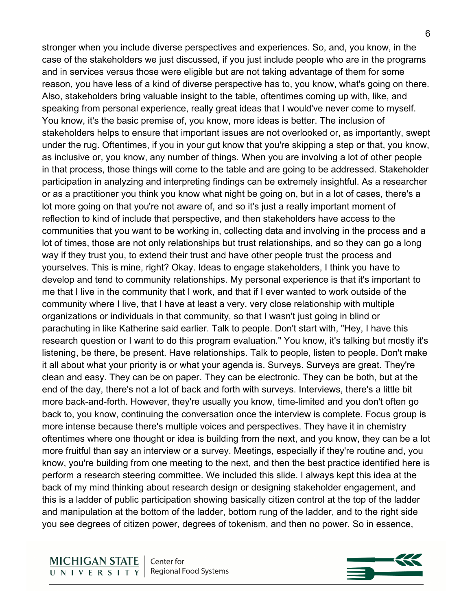stronger when you include diverse perspectives and experiences. So, and, you know, in the case of the stakeholders we just discussed, if you just include people who are in the programs and in services versus those were eligible but are not taking advantage of them for some reason, you have less of a kind of diverse perspective has to, you know, what's going on there. Also, stakeholders bring valuable insight to the table, oftentimes coming up with, like, and speaking from personal experience, really great ideas that I would've never come to myself. You know, it's the basic premise of, you know, more ideas is better. The inclusion of stakeholders helps to ensure that important issues are not overlooked or, as importantly, swept under the rug. Oftentimes, if you in your gut know that you're skipping a step or that, you know, as inclusive or, you know, any number of things. When you are involving a lot of other people in that process, those things will come to the table and are going to be addressed. Stakeholder participation in analyzing and interpreting findings can be extremely insightful. As a researcher or as a practitioner you think you know what night be going on, but in a lot of cases, there's a lot more going on that you're not aware of, and so it's just a really important moment of reflection to kind of include that perspective, and then stakeholders have access to the communities that you want to be working in, collecting data and involving in the process and a lot of times, those are not only relationships but trust relationships, and so they can go a long way if they trust you, to extend their trust and have other people trust the process and yourselves. This is mine, right? Okay. Ideas to engage stakeholders, I think you have to develop and tend to community relationships. My personal experience is that it's important to me that I live in the community that I work, and that if I ever wanted to work outside of the community where I live, that I have at least a very, very close relationship with multiple organizations or individuals in that community, so that I wasn't just going in blind or parachuting in like Katherine said earlier. Talk to people. Don't start with, "Hey, I have this research question or I want to do this program evaluation." You know, it's talking but mostly it's listening, be there, be present. Have relationships. Talk to people, listen to people. Don't make it all about what your priority is or what your agenda is. Surveys. Surveys are great. They're clean and easy. They can be on paper. They can be electronic. They can be both, but at the end of the day, there's not a lot of back and forth with surveys. Interviews, there's a little bit more back-and-forth. However, they're usually you know, time-limited and you don't often go back to, you know, continuing the conversation once the interview is complete. Focus group is more intense because there's multiple voices and perspectives. They have it in chemistry oftentimes where one thought or idea is building from the next, and you know, they can be a lot more fruitful than say an interview or a survey. Meetings, especially if they're routine and, you know, you're building from one meeting to the next, and then the best practice identified here is perform a research steering committee. We included this slide. I always kept this idea at the back of my mind thinking about research design or designing stakeholder engagement, and this is a ladder of public participation showing basically citizen control at the top of the ladder and manipulation at the bottom of the ladder, bottom rung of the ladder, and to the right side you see degrees of citizen power, degrees of tokenism, and then no power. So in essence,

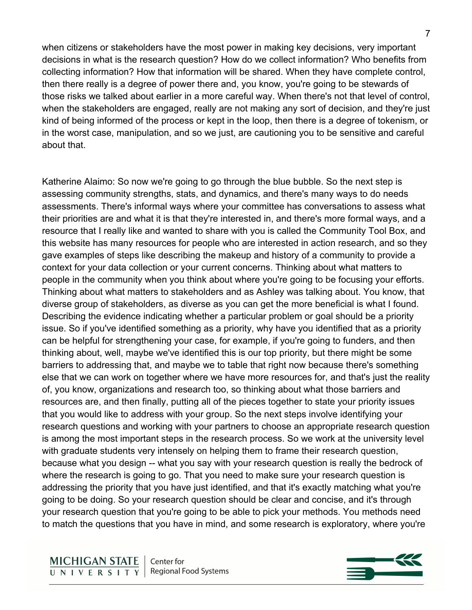when citizens or stakeholders have the most power in making key decisions, very important decisions in what is the research question? How do we collect information? Who benefits from collecting information? How that information will be shared. When they have complete control, then there really is a degree of power there and, you know, you're going to be stewards of those risks we talked about earlier in a more careful way. When there's not that level of control, when the stakeholders are engaged, really are not making any sort of decision, and they're just

kind of being informed of the process or kept in the loop, then there is a degree of tokenism, or in the worst case, manipulation, and so we just, are cautioning you to be sensitive and careful about that.

Katherine Alaimo: So now we're going to go through the blue bubble. So the next step is assessing community strengths, stats, and dynamics, and there's many ways to do needs assessments. There's informal ways where your committee has conversations to assess what their priorities are and what it is that they're interested in, and there's more formal ways, and a resource that I really like and wanted to share with you is called the Community Tool Box, and this website has many resources for people who are interested in action research, and so they gave examples of steps like describing the makeup and history of a community to provide a context for your data collection or your current concerns. Thinking about what matters to people in the community when you think about where you're going to be focusing your efforts. Thinking about what matters to stakeholders and as Ashley was talking about. You know, that diverse group of stakeholders, as diverse as you can get the more beneficial is what I found. Describing the evidence indicating whether a particular problem or goal should be a priority issue. So if you've identified something as a priority, why have you identified that as a priority can be helpful for strengthening your case, for example, if you're going to funders, and then thinking about, well, maybe we've identified this is our top priority, but there might be some barriers to addressing that, and maybe we to table that right now because there's something else that we can work on together where we have more resources for, and that's just the reality of, you know, organizations and research too, so thinking about what those barriers and resources are, and then finally, putting all of the pieces together to state your priority issues that you would like to address with your group. So the next steps involve identifying your research questions and working with your partners to choose an appropriate research question is among the most important steps in the research process. So we work at the university level with graduate students very intensely on helping them to frame their research question, because what you design -- what you say with your research question is really the bedrock of where the research is going to go. That you need to make sure your research question is addressing the priority that you have just identified, and that it's exactly matching what you're going to be doing. So your research question should be clear and concise, and it's through your research question that you're going to be able to pick your methods. You methods need to match the questions that you have in mind, and some research is exploratory, where you're

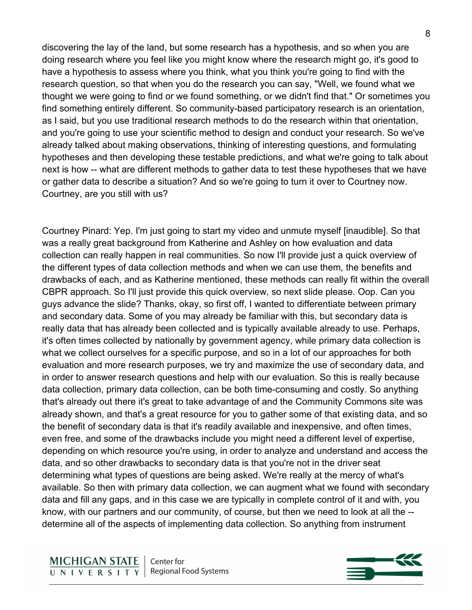discovering the lay of the land, but some research has a hypothesis, and so when you are doing research where you feel like you might know where the research might go, it's good to have a hypothesis to assess where you think, what you think you're going to find with the research question, so that when you do the research you can say, "Well, we found what we thought we were going to find or we found something, or we didn't find that." Or sometimes you find something entirely different. So community-based participatory research is an orientation, as I said, but you use traditional research methods to do the research within that orientation, and you're going to use your scientific method to design and conduct your research. So we've already talked about making observations, thinking of interesting questions, and formulating hypotheses and then developing these testable predictions, and what we're going to talk about next is how -- what are different methods to gather data to test these hypotheses that we have or gather data to describe a situation? And so we're going to turn it over to Courtney now. Courtney, are you still with us?

Courtney Pinard: Yep. I'm just going to start my video and unmute myself [inaudible]. So that was a really great background from Katherine and Ashley on how evaluation and data collection can really happen in real communities. So now I'll provide just a quick overview of the different types of data collection methods and when we can use them, the benefits and drawbacks of each, and as Katherine mentioned, these methods can really fit within the overall CBPR approach. So I'll just provide this quick overview, so next slide please. Oop. Can you guys advance the slide? Thanks, okay, so first off, I wanted to differentiate between primary and secondary data. Some of you may already be familiar with this, but secondary data is really data that has already been collected and is typically available already to use. Perhaps, it's often times collected by nationally by government agency, while primary data collection is what we collect ourselves for a specific purpose, and so in a lot of our approaches for both evaluation and more research purposes, we try and maximize the use of secondary data, and in order to answer research questions and help with our evaluation. So this is really because data collection, primary data collection, can be both time-consuming and costly. So anything that's already out there it's great to take advantage of and the Community Commons site was already shown, and that's a great resource for you to gather some of that existing data, and so the benefit of secondary data is that it's readily available and inexpensive, and often times, even free, and some of the drawbacks include you might need a different level of expertise, depending on which resource you're using, in order to analyze and understand and access the data, and so other drawbacks to secondary data is that you're not in the driver seat determining what types of questions are being asked. We're really at the mercy of what's available. So then with primary data collection, we can augment what we found with secondary data and fill any gaps, and in this case we are typically in complete control of it and with, you know, with our partners and our community, of course, but then we need to look at all the - determine all of the aspects of implementing data collection. So anything from instrument

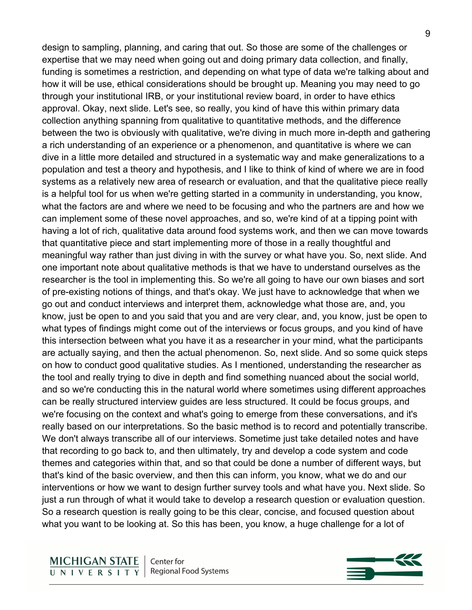design to sampling, planning, and caring that out. So those are some of the challenges or expertise that we may need when going out and doing primary data collection, and finally, funding is sometimes a restriction, and depending on what type of data we're talking about and how it will be use, ethical considerations should be brought up. Meaning you may need to go through your institutional IRB, or your institutional review board, in order to have ethics approval. Okay, next slide. Let's see, so really, you kind of have this within primary data collection anything spanning from qualitative to quantitative methods, and the difference between the two is obviously with qualitative, we're diving in much more in-depth and gathering a rich understanding of an experience or a phenomenon, and quantitative is where we can dive in a little more detailed and structured in a systematic way and make generalizations to a population and test a theory and hypothesis, and I like to think of kind of where we are in food systems as a relatively new area of research or evaluation, and that the qualitative piece really is a helpful tool for us when we're getting started in a community in understanding, you know, what the factors are and where we need to be focusing and who the partners are and how we can implement some of these novel approaches, and so, we're kind of at a tipping point with having a lot of rich, qualitative data around food systems work, and then we can move towards that quantitative piece and start implementing more of those in a really thoughtful and meaningful way rather than just diving in with the survey or what have you. So, next slide. And one important note about qualitative methods is that we have to understand ourselves as the researcher is the tool in implementing this. So we're all going to have our own biases and sort of pre-existing notions of things, and that's okay. We just have to acknowledge that when we go out and conduct interviews and interpret them, acknowledge what those are, and, you know, just be open to and you said that you and are very clear, and, you know, just be open to what types of findings might come out of the interviews or focus groups, and you kind of have this intersection between what you have it as a researcher in your mind, what the participants are actually saying, and then the actual phenomenon. So, next slide. And so some quick steps on how to conduct good qualitative studies. As I mentioned, understanding the researcher as the tool and really trying to dive in depth and find something nuanced about the social world, and so we're conducting this in the natural world where sometimes using different approaches can be really structured interview guides are less structured. It could be focus groups, and we're focusing on the context and what's going to emerge from these conversations, and it's really based on our interpretations. So the basic method is to record and potentially transcribe. We don't always transcribe all of our interviews. Sometime just take detailed notes and have that recording to go back to, and then ultimately, try and develop a code system and code themes and categories within that, and so that could be done a number of different ways, but that's kind of the basic overview, and then this can inform, you know, what we do and our interventions or how we want to design further survey tools and what have you. Next slide. So just a run through of what it would take to develop a research question or evaluation question. So a research question is really going to be this clear, concise, and focused question about what you want to be looking at. So this has been, you know, a huge challenge for a lot of

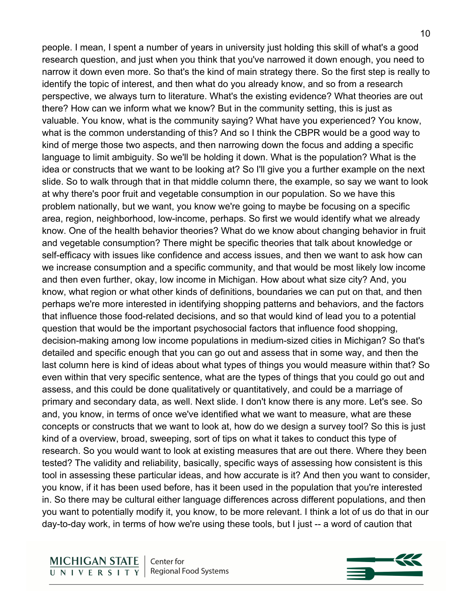people. I mean, I spent a number of years in university just holding this skill of what's a good research question, and just when you think that you've narrowed it down enough, you need to narrow it down even more. So that's the kind of main strategy there. So the first step is really to identify the topic of interest, and then what do you already know, and so from a research perspective, we always turn to literature. What's the existing evidence? What theories are out there? How can we inform what we know? But in the community setting, this is just as valuable. You know, what is the community saying? What have you experienced? You know, what is the common understanding of this? And so I think the CBPR would be a good way to kind of merge those two aspects, and then narrowing down the focus and adding a specific language to limit ambiguity. So we'll be holding it down. What is the population? What is the idea or constructs that we want to be looking at? So I'll give you a further example on the next slide. So to walk through that in that middle column there, the example, so say we want to look at why there's poor fruit and vegetable consumption in our population. So we have this problem nationally, but we want, you know we're going to maybe be focusing on a specific area, region, neighborhood, low-income, perhaps. So first we would identify what we already know. One of the health behavior theories? What do we know about changing behavior in fruit and vegetable consumption? There might be specific theories that talk about knowledge or self-efficacy with issues like confidence and access issues, and then we want to ask how can we increase consumption and a specific community, and that would be most likely low income and then even further, okay, low income in Michigan. How about what size city? And, you know, what region or what other kinds of definitions, boundaries we can put on that, and then perhaps we're more interested in identifying shopping patterns and behaviors, and the factors that influence those food-related decisions, and so that would kind of lead you to a potential question that would be the important psychosocial factors that influence food shopping, decision-making among low income populations in medium-sized cities in Michigan? So that's detailed and specific enough that you can go out and assess that in some way, and then the last column here is kind of ideas about what types of things you would measure within that? So even within that very specific sentence, what are the types of things that you could go out and assess, and this could be done qualitatively or quantitatively, and could be a marriage of primary and secondary data, as well. Next slide. I don't know there is any more. Let's see. So and, you know, in terms of once we've identified what we want to measure, what are these concepts or constructs that we want to look at, how do we design a survey tool? So this is just kind of a overview, broad, sweeping, sort of tips on what it takes to conduct this type of research. So you would want to look at existing measures that are out there. Where they been tested? The validity and reliability, basically, specific ways of assessing how consistent is this tool in assessing these particular ideas, and how accurate is it? And then you want to consider, you know, if it has been used before, has it been used in the population that you're interested in. So there may be cultural either language differences across different populations, and then you want to potentially modify it, you know, to be more relevant. I think a lot of us do that in our day-to-day work, in terms of how we're using these tools, but I just -- a word of caution that

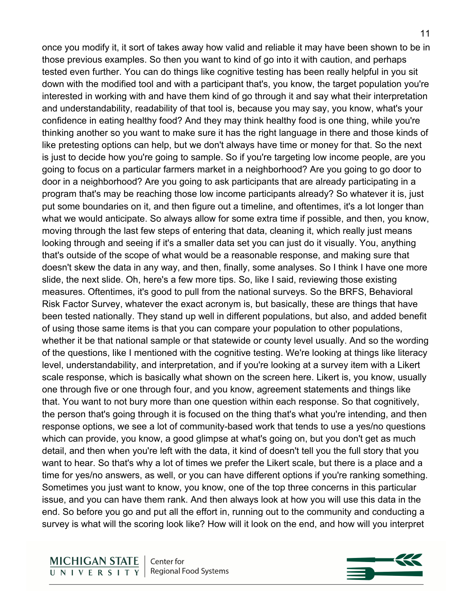once you modify it, it sort of takes away how valid and reliable it may have been shown to be in those previous examples. So then you want to kind of go into it with caution, and perhaps tested even further. You can do things like cognitive testing has been really helpful in you sit down with the modified tool and with a participant that's, you know, the target population you're interested in working with and have them kind of go through it and say what their interpretation and understandability, readability of that tool is, because you may say, you know, what's your confidence in eating healthy food? And they may think healthy food is one thing, while you're thinking another so you want to make sure it has the right language in there and those kinds of like pretesting options can help, but we don't always have time or money for that. So the next is just to decide how you're going to sample. So if you're targeting low income people, are you going to focus on a particular farmers market in a neighborhood? Are you going to go door to door in a neighborhood? Are you going to ask participants that are already participating in a program that's may be reaching those low income participants already? So whatever it is, just put some boundaries on it, and then figure out a timeline, and oftentimes, it's a lot longer than what we would anticipate. So always allow for some extra time if possible, and then, you know, moving through the last few steps of entering that data, cleaning it, which really just means looking through and seeing if it's a smaller data set you can just do it visually. You, anything that's outside of the scope of what would be a reasonable response, and making sure that doesn't skew the data in any way, and then, finally, some analyses. So I think I have one more slide, the next slide. Oh, here's a few more tips. So, like I said, reviewing those existing measures. Oftentimes, it's good to pull from the national surveys. So the BRFS, Behavioral Risk Factor Survey, whatever the exact acronym is, but basically, these are things that have been tested nationally. They stand up well in different populations, but also, and added benefit of using those same items is that you can compare your population to other populations, whether it be that national sample or that statewide or county level usually. And so the wording of the questions, like I mentioned with the cognitive testing. We're looking at things like literacy level, understandability, and interpretation, and if you're looking at a survey item with a Likert scale response, which is basically what shown on the screen here. Likert is, you know, usually one through five or one through four, and you know, agreement statements and things like that. You want to not bury more than one question within each response. So that cognitively, the person that's going through it is focused on the thing that's what you're intending, and then response options, we see a lot of community-based work that tends to use a yes/no questions which can provide, you know, a good glimpse at what's going on, but you don't get as much detail, and then when you're left with the data, it kind of doesn't tell you the full story that you want to hear. So that's why a lot of times we prefer the Likert scale, but there is a place and a time for yes/no answers, as well, or you can have different options if you're ranking something. Sometimes you just want to know, you know, one of the top three concerns in this particular issue, and you can have them rank. And then always look at how you will use this data in the end. So before you go and put all the effort in, running out to the community and conducting a

survey is what will the scoring look like? How will it look on the end, and how will you interpret

**MICHIGAN STATE** Center for **Regional Food Systems** UNIVERSITY

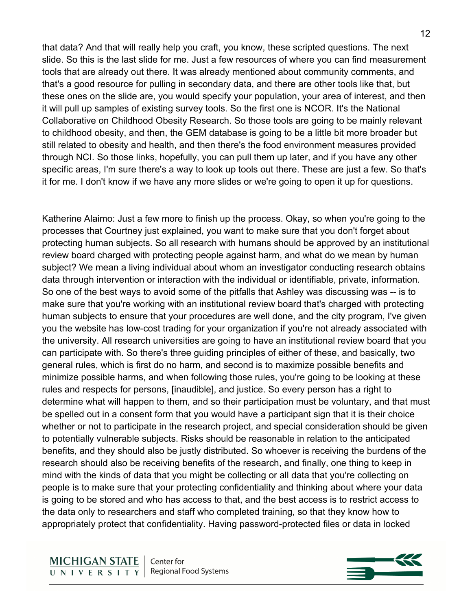that data? And that will really help you craft, you know, these scripted questions. The next slide. So this is the last slide for me. Just a few resources of where you can find measurement tools that are already out there. It was already mentioned about community comments, and that's a good resource for pulling in secondary data, and there are other tools like that, but these ones on the slide are, you would specify your population, your area of interest, and then it will pull up samples of existing survey tools. So the first one is NCOR. It's the National Collaborative on Childhood Obesity Research. So those tools are going to be mainly relevant to childhood obesity, and then, the GEM database is going to be a little bit more broader but still related to obesity and health, and then there's the food environment measures provided through NCI. So those links, hopefully, you can pull them up later, and if you have any other specific areas, I'm sure there's a way to look up tools out there. These are just a few. So that's it for me. I don't know if we have any more slides or we're going to open it up for questions.

Katherine Alaimo: Just a few more to finish up the process. Okay, so when you're going to the processes that Courtney just explained, you want to make sure that you don't forget about protecting human subjects. So all research with humans should be approved by an institutional review board charged with protecting people against harm, and what do we mean by human subject? We mean a living individual about whom an investigator conducting research obtains data through intervention or interaction with the individual or identifiable, private, information. So one of the best ways to avoid some of the pitfalls that Ashley was discussing was -- is to make sure that you're working with an institutional review board that's charged with protecting human subjects to ensure that your procedures are well done, and the city program, I've given you the website has low-cost trading for your organization if you're not already associated with the university. All research universities are going to have an institutional review board that you can participate with. So there's three guiding principles of either of these, and basically, two general rules, which is first do no harm, and second is to maximize possible benefits and minimize possible harms, and when following those rules, you're going to be looking at these rules and respects for persons, [inaudible], and justice. So every person has a right to determine what will happen to them, and so their participation must be voluntary, and that must be spelled out in a consent form that you would have a participant sign that it is their choice whether or not to participate in the research project, and special consideration should be given to potentially vulnerable subjects. Risks should be reasonable in relation to the anticipated benefits, and they should also be justly distributed. So whoever is receiving the burdens of the research should also be receiving benefits of the research, and finally, one thing to keep in mind with the kinds of data that you might be collecting or all data that you're collecting on people is to make sure that your protecting confidentiality and thinking about where your data is going to be stored and who has access to that, and the best access is to restrict access to the data only to researchers and staff who completed training, so that they know how to appropriately protect that confidentiality. Having password-protected files or data in locked

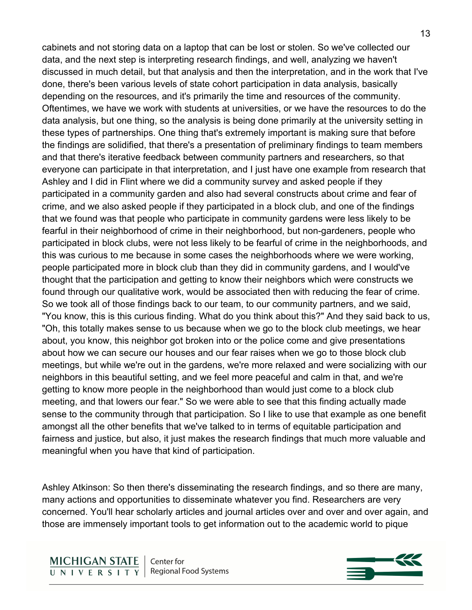cabinets and not storing data on a laptop that can be lost or stolen. So we've collected our data, and the next step is interpreting research findings, and well, analyzing we haven't discussed in much detail, but that analysis and then the interpretation, and in the work that I've done, there's been various levels of state cohort participation in data analysis, basically depending on the resources, and it's primarily the time and resources of the community. Oftentimes, we have we work with students at universities, or we have the resources to do the data analysis, but one thing, so the analysis is being done primarily at the university setting in these types of partnerships. One thing that's extremely important is making sure that before the findings are solidified, that there's a presentation of preliminary findings to team members and that there's iterative feedback between community partners and researchers, so that everyone can participate in that interpretation, and I just have one example from research that Ashley and I did in Flint where we did a community survey and asked people if they participated in a community garden and also had several constructs about crime and fear of crime, and we also asked people if they participated in a block club, and one of the findings that we found was that people who participate in community gardens were less likely to be fearful in their neighborhood of crime in their neighborhood, but non-gardeners, people who participated in block clubs, were not less likely to be fearful of crime in the neighborhoods, and this was curious to me because in some cases the neighborhoods where we were working, people participated more in block club than they did in community gardens, and I would've thought that the participation and getting to know their neighbors which were constructs we found through our qualitative work, would be associated then with reducing the fear of crime. So we took all of those findings back to our team, to our community partners, and we said, "You know, this is this curious finding. What do you think about this?" And they said back to us, "Oh, this totally makes sense to us because when we go to the block club meetings, we hear about, you know, this neighbor got broken into or the police come and give presentations about how we can secure our houses and our fear raises when we go to those block club meetings, but while we're out in the gardens, we're more relaxed and were socializing with our neighbors in this beautiful setting, and we feel more peaceful and calm in that, and we're getting to know more people in the neighborhood than would just come to a block club meeting, and that lowers our fear." So we were able to see that this finding actually made sense to the community through that participation. So I like to use that example as one benefit amongst all the other benefits that we've talked to in terms of equitable participation and fairness and justice, but also, it just makes the research findings that much more valuable and meaningful when you have that kind of participation.

Ashley Atkinson: So then there's disseminating the research findings, and so there are many, many actions and opportunities to disseminate whatever you find. Researchers are very concerned. You'll hear scholarly articles and journal articles over and over and over again, and those are immensely important tools to get information out to the academic world to pique

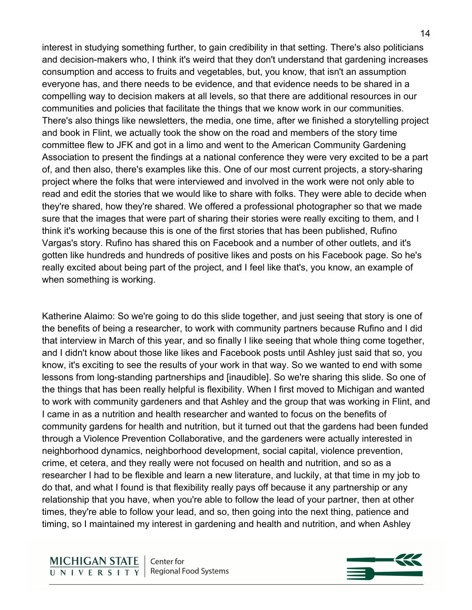interest in studying something further, to gain credibility in that setting. There's also politicians and decision-makers who, I think it's weird that they don't understand that gardening increases consumption and access to fruits and vegetables, but, you know, that isn't an assumption everyone has, and there needs to be evidence, and that evidence needs to be shared in a compelling way to decision makers at all levels, so that there are additional resources in our communities and policies that facilitate the things that we know work in our communities. There's also things like newsletters, the media, one time, after we finished a storytelling project and book in Flint, we actually took the show on the road and members of the story time committee flew to JFK and got in a limo and went to the American Community Gardening Association to present the findings at a national conference they were very excited to be a part of, and then also, there's examples like this. One of our most current projects, a story-sharing project where the folks that were interviewed and involved in the work were not only able to read and edit the stories that we would like to share with folks. They were able to decide when they're shared, how they're shared. We offered a professional photographer so that we made sure that the images that were part of sharing their stories were really exciting to them, and I think it's working because this is one of the first stories that has been published, Rufino Vargas's story. Rufino has shared this on Facebook and a number of other outlets, and it's gotten like hundreds and hundreds of positive likes and posts on his Facebook page. So he's really excited about being part of the project, and I feel like that's, you know, an example of when something is working.

Katherine Alaimo: So we're going to do this slide together, and just seeing that story is one of the benefits of being a researcher, to work with community partners because Rufino and I did that interview in March of this year, and so finally I like seeing that whole thing come together, and I didn't know about those like likes and Facebook posts until Ashley just said that so, you know, it's exciting to see the results of your work in that way. So we wanted to end with some lessons from long-standing partnerships and [inaudible]. So we're sharing this slide. So one of the things that has been really helpful is flexibility. When I first moved to Michigan and wanted to work with community gardeners and that Ashley and the group that was working in Flint, and I came in as a nutrition and health researcher and wanted to focus on the benefits of community gardens for health and nutrition, but it turned out that the gardens had been funded through a Violence Prevention Collaborative, and the gardeners were actually interested in neighborhood dynamics, neighborhood development, social capital, violence prevention, crime, et cetera, and they really were not focused on health and nutrition, and so as a researcher I had to be flexible and learn a new literature, and luckily, at that time in my job to do that, and what I found is that flexibility really pays off because it any partnership or any relationship that you have, when you're able to follow the lead of your partner, then at other times, they're able to follow your lead, and so, then going into the next thing, patience and timing, so I maintained my interest in gardening and health and nutrition, and when Ashley

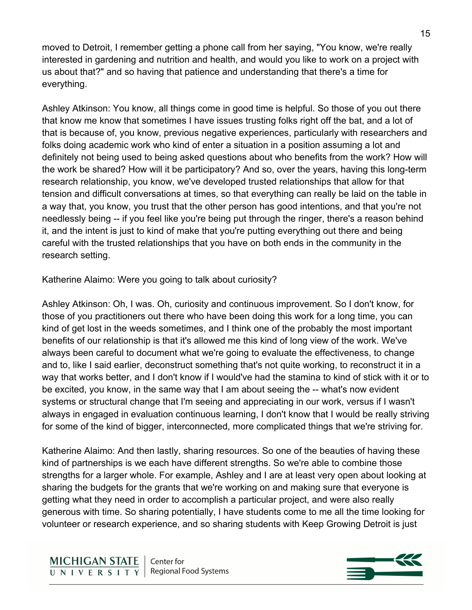moved to Detroit, I remember getting a phone call from her saying, "You know, we're really interested in gardening and nutrition and health, and would you like to work on a project with us about that?" and so having that patience and understanding that there's a time for everything.

Ashley Atkinson: You know, all things come in good time is helpful. So those of you out there that know me know that sometimes I have issues trusting folks right off the bat, and a lot of that is because of, you know, previous negative experiences, particularly with researchers and folks doing academic work who kind of enter a situation in a position assuming a lot and definitely not being used to being asked questions about who benefits from the work? How will the work be shared? How will it be participatory? And so, over the years, having this long-term research relationship, you know, we've developed trusted relationships that allow for that tension and difficult conversations at times, so that everything can really be laid on the table in a way that, you know, you trust that the other person has good intentions, and that you're not needlessly being -- if you feel like you're being put through the ringer, there's a reason behind it, and the intent is just to kind of make that you're putting everything out there and being careful with the trusted relationships that you have on both ends in the community in the research setting.

Katherine Alaimo: Were you going to talk about curiosity?

Ashley Atkinson: Oh, I was. Oh, curiosity and continuous improvement. So I don't know, for those of you practitioners out there who have been doing this work for a long time, you can kind of get lost in the weeds sometimes, and I think one of the probably the most important benefits of our relationship is that it's allowed me this kind of long view of the work. We've always been careful to document what we're going to evaluate the effectiveness, to change and to, like I said earlier, deconstruct something that's not quite working, to reconstruct it in a way that works better, and I don't know if I would've had the stamina to kind of stick with it or to be excited, you know, in the same way that I am about seeing the -- what's now evident systems or structural change that I'm seeing and appreciating in our work, versus if I wasn't always in engaged in evaluation continuous learning, I don't know that I would be really striving for some of the kind of bigger, interconnected, more complicated things that we're striving for.

Katherine Alaimo: And then lastly, sharing resources. So one of the beauties of having these kind of partnerships is we each have different strengths. So we're able to combine those strengths for a larger whole. For example, Ashley and I are at least very open about looking at sharing the budgets for the grants that we're working on and making sure that everyone is getting what they need in order to accomplish a particular project, and were also really generous with time. So sharing potentially, I have students come to me all the time looking for volunteer or research experience, and so sharing students with Keep Growing Detroit is just

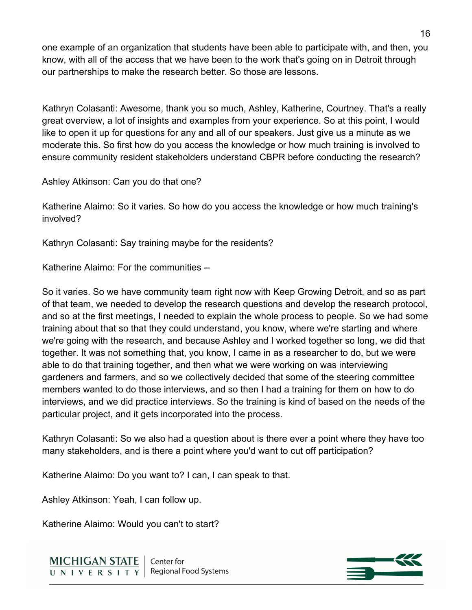one example of an organization that students have been able to participate with, and then, you know, with all of the access that we have been to the work that's going on in Detroit through our partnerships to make the research better. So those are lessons.

Kathryn Colasanti: Awesome, thank you so much, Ashley, Katherine, Courtney. That's a really great overview, a lot of insights and examples from your experience. So at this point, I would like to open it up for questions for any and all of our speakers. Just give us a minute as we moderate this. So first how do you access the knowledge or how much training is involved to ensure community resident stakeholders understand CBPR before conducting the research?

Ashley Atkinson: Can you do that one?

Katherine Alaimo: So it varies. So how do you access the knowledge or how much training's involved?

Kathryn Colasanti: Say training maybe for the residents?

Katherine Alaimo: For the communities --

So it varies. So we have community team right now with Keep Growing Detroit, and so as part of that team, we needed to develop the research questions and develop the research protocol, and so at the first meetings, I needed to explain the whole process to people. So we had some training about that so that they could understand, you know, where we're starting and where we're going with the research, and because Ashley and I worked together so long, we did that together. It was not something that, you know, I came in as a researcher to do, but we were able to do that training together, and then what we were working on was interviewing gardeners and farmers, and so we collectively decided that some of the steering committee members wanted to do those interviews, and so then I had a training for them on how to do interviews, and we did practice interviews. So the training is kind of based on the needs of the particular project, and it gets incorporated into the process.

Kathryn Colasanti: So we also had a question about is there ever a point where they have too many stakeholders, and is there a point where you'd want to cut off participation?

Katherine Alaimo: Do you want to? I can, I can speak to that.

Ashley Atkinson: Yeah, I can follow up.

Katherine Alaimo: Would you can't to start?



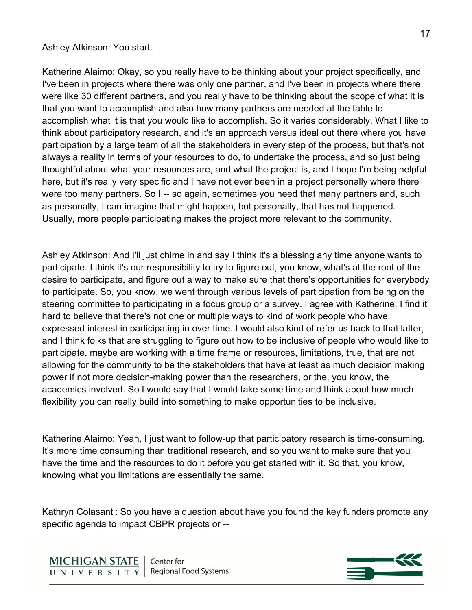## Ashley Atkinson: You start.

Katherine Alaimo: Okay, so you really have to be thinking about your project specifically, and I've been in projects where there was only one partner, and I've been in projects where there were like 30 different partners, and you really have to be thinking about the scope of what it is that you want to accomplish and also how many partners are needed at the table to accomplish what it is that you would like to accomplish. So it varies considerably. What I like to think about participatory research, and it's an approach versus ideal out there where you have participation by a large team of all the stakeholders in every step of the process, but that's not always a reality in terms of your resources to do, to undertake the process, and so just being thoughtful about what your resources are, and what the project is, and I hope I'm being helpful here, but it's really very specific and I have not ever been in a project personally where there were too many partners. So I -- so again, sometimes you need that many partners and, such as personally, I can imagine that might happen, but personally, that has not happened. Usually, more people participating makes the project more relevant to the community.

Ashley Atkinson: And I'll just chime in and say I think it's a blessing any time anyone wants to participate. I think it's our responsibility to try to figure out, you know, what's at the root of the desire to participate, and figure out a way to make sure that there's opportunities for everybody to participate. So, you know, we went through various levels of participation from being on the steering committee to participating in a focus group or a survey. I agree with Katherine. I find it hard to believe that there's not one or multiple ways to kind of work people who have expressed interest in participating in over time. I would also kind of refer us back to that latter, and I think folks that are struggling to figure out how to be inclusive of people who would like to participate, maybe are working with a time frame or resources, limitations, true, that are not allowing for the community to be the stakeholders that have at least as much decision making power if not more decision-making power than the researchers, or the, you know, the academics involved. So I would say that I would take some time and think about how much flexibility you can really build into something to make opportunities to be inclusive.

Katherine Alaimo: Yeah, I just want to follow-up that participatory research is time-consuming. It's more time consuming than traditional research, and so you want to make sure that you have the time and the resources to do it before you get started with it. So that, you know, knowing what you limitations are essentially the same.

Kathryn Colasanti: So you have a question about have you found the key funders promote any specific agenda to impact CBPR projects or --

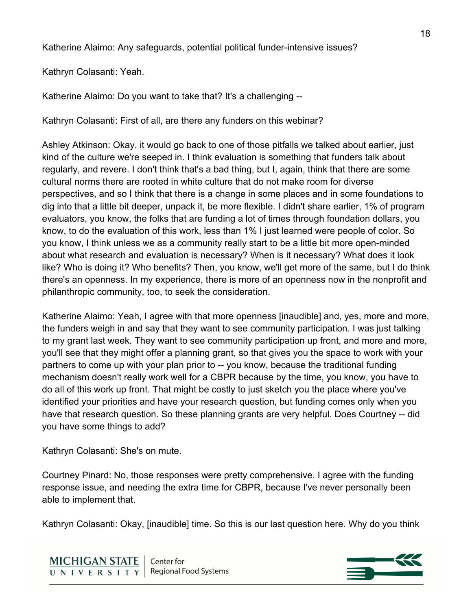Katherine Alaimo: Any safeguards, potential political funder-intensive issues?

Kathryn Colasanti: Yeah.

Katherine Alaimo: Do you want to take that? It's a challenging --

Kathryn Colasanti: First of all, are there any funders on this webinar?

Ashley Atkinson: Okay, it would go back to one of those pitfalls we talked about earlier, just kind of the culture we're seeped in. I think evaluation is something that funders talk about regularly, and revere. I don't think that's a bad thing, but I, again, think that there are some cultural norms there are rooted in white culture that do not make room for diverse perspectives, and so I think that there is a change in some places and in some foundations to dig into that a little bit deeper, unpack it, be more flexible. I didn't share earlier, 1% of program evaluators, you know, the folks that are funding a lot of times through foundation dollars, you know, to do the evaluation of this work, less than 1% I just learned were people of color. So you know, I think unless we as a community really start to be a little bit more open-minded about what research and evaluation is necessary? When is it necessary? What does it look like? Who is doing it? Who benefits? Then, you know, we'll get more of the same, but I do think there's an openness. In my experience, there is more of an openness now in the nonprofit and philanthropic community, too, to seek the consideration.

Katherine Alaimo: Yeah, I agree with that more openness [inaudible] and, yes, more and more, the funders weigh in and say that they want to see community participation. I was just talking to my grant last week. They want to see community participation up front, and more and more, you'll see that they might offer a planning grant, so that gives you the space to work with your partners to come up with your plan prior to -- you know, because the traditional funding mechanism doesn't really work well for a CBPR because by the time, you know, you have to do all of this work up front. That might be costly to just sketch you the place where you've identified your priorities and have your research question, but funding comes only when you have that research question. So these planning grants are very helpful. Does Courtney -- did you have some things to add?

Kathryn Colasanti: She's on mute.

Courtney Pinard: No, those responses were pretty comprehensive. I agree with the funding response issue, and needing the extra time for CBPR, because I've never personally been able to implement that.

Kathryn Colasanti: Okay, [inaudible] time. So this is our last question here. Why do you think



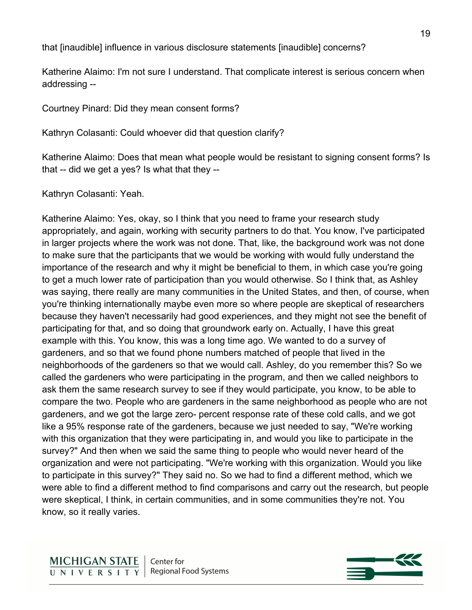that [inaudible] influence in various disclosure statements [inaudible] concerns?

Katherine Alaimo: I'm not sure I understand. That complicate interest is serious concern when addressing --

Courtney Pinard: Did they mean consent forms?

Kathryn Colasanti: Could whoever did that question clarify?

Katherine Alaimo: Does that mean what people would be resistant to signing consent forms? Is that -- did we get a yes? Is what that they --

Kathryn Colasanti: Yeah.

Katherine Alaimo: Yes, okay, so I think that you need to frame your research study appropriately, and again, working with security partners to do that. You know, I've participated in larger projects where the work was not done. That, like, the background work was not done to make sure that the participants that we would be working with would fully understand the importance of the research and why it might be beneficial to them, in which case you're going to get a much lower rate of participation than you would otherwise. So I think that, as Ashley was saying, there really are many communities in the United States, and then, of course, when you're thinking internationally maybe even more so where people are skeptical of researchers because they haven't necessarily had good experiences, and they might not see the benefit of participating for that, and so doing that groundwork early on. Actually, I have this great example with this. You know, this was a long time ago. We wanted to do a survey of gardeners, and so that we found phone numbers matched of people that lived in the neighborhoods of the gardeners so that we would call. Ashley, do you remember this? So we called the gardeners who were participating in the program, and then we called neighbors to ask them the same research survey to see if they would participate, you know, to be able to compare the two. People who are gardeners in the same neighborhood as people who are not gardeners, and we got the large zero- percent response rate of these cold calls, and we got like a 95% response rate of the gardeners, because we just needed to say, "We're working with this organization that they were participating in, and would you like to participate in the survey?" And then when we said the same thing to people who would never heard of the organization and were not participating. "We're working with this organization. Would you like to participate in this survey?" They said no. So we had to find a different method, which we were able to find a different method to find comparisons and carry out the research, but people were skeptical, I think, in certain communities, and in some communities they're not. You know, so it really varies.